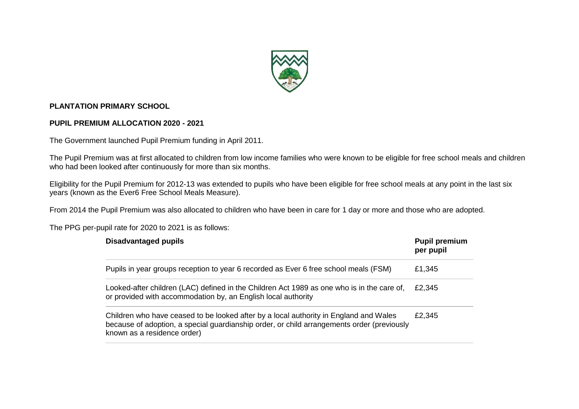

## **PLANTATION PRIMARY SCHOOL**

## **PUPIL PREMIUM ALLOCATION 2020 - 2021**

The Government launched Pupil Premium funding in April 2011.

The Pupil Premium was at first allocated to children from low income families who were known to be eligible for free school meals and children who had been looked after continuously for more than six months.

Eligibility for the Pupil Premium for 2012-13 was extended to pupils who have been eligible for free school meals at any point in the last six years (known as the Ever6 Free School Meals Measure).

From 2014 the Pupil Premium was also allocated to children who have been in care for 1 day or more and those who are adopted.

The PPG per-pupil rate for 2020 to 2021 is as follows:

| <b>Disadvantaged pupils</b>                                                                                                                                                                                        | <b>Pupil premium</b><br>per pupil |
|--------------------------------------------------------------------------------------------------------------------------------------------------------------------------------------------------------------------|-----------------------------------|
| Pupils in year groups reception to year 6 recorded as Ever 6 free school meals (FSM)                                                                                                                               | £1,345                            |
| Looked-after children (LAC) defined in the Children Act 1989 as one who is in the care of,<br>or provided with accommodation by, an English local authority                                                        | £2,345                            |
| Children who have ceased to be looked after by a local authority in England and Wales<br>because of adoption, a special guardianship order, or child arrangements order (previously<br>known as a residence order) | £2,345                            |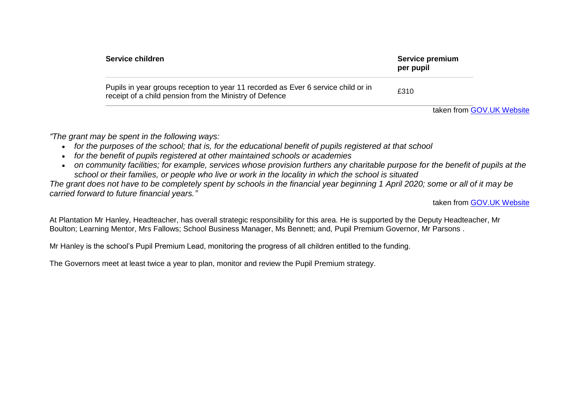| Service children                                                                                                                             | Service premium<br>per pupil |
|----------------------------------------------------------------------------------------------------------------------------------------------|------------------------------|
| Pupils in year groups reception to year 11 recorded as Ever 6 service child or in<br>receipt of a child pension from the Ministry of Defence | £310                         |

taken from [GOV.UK](https://www.gov.uk/government/publications/pupil-premium-allocations-and-conditions-of-grant-2020-to-2021/pupil-premium-conditions-of-grant-2020-to-2021) Website

*"The grant may be spent in the following ways:*

- *for the purposes of the school; that is, for the educational benefit of pupils registered at that school*
- *for the benefit of pupils registered at other maintained schools or academies*
- on community facilities; for example, services whose provision furthers any charitable purpose for the benefit of pupils at the *school or their families, or people who live or work in the locality in which the school is situated*

*The grant does not have to be completely spent by schools in the financial year beginning 1 April 2020; some or all of it may be carried forward to future financial years."*

taken from [GOV.UK](https://www.gov.uk/government/publications/pupil-premium-allocations-and-conditions-of-grant-2020-to-2021/pupil-premium-conditions-of-grant-2020-to-2021) Website

At Plantation Mr Hanley, Headteacher, has overall strategic responsibility for this area. He is supported by the Deputy Headteacher, Mr Boulton; Learning Mentor, Mrs Fallows; School Business Manager, Ms Bennett; and, Pupil Premium Governor, Mr Parsons .

Mr Hanley is the school's Pupil Premium Lead, monitoring the progress of all children entitled to the funding.

The Governors meet at least twice a year to plan, monitor and review the Pupil Premium strategy.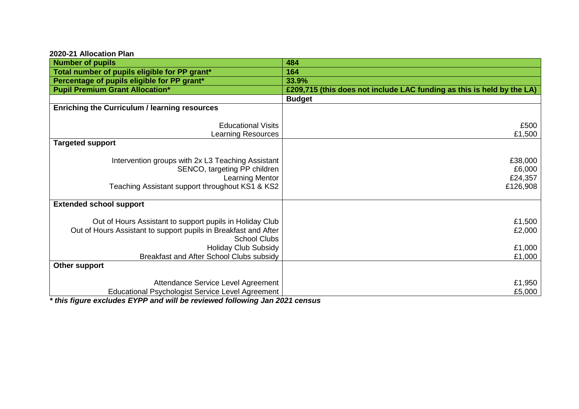## **2020-21 Allocation Plan**

| <b>Number of pupils</b>                                                 | 484                                                                    |
|-------------------------------------------------------------------------|------------------------------------------------------------------------|
| Total number of pupils eligible for PP grant*                           | 164                                                                    |
| Percentage of pupils eligible for PP grant*                             | 33.9%                                                                  |
| <b>Pupil Premium Grant Allocation*</b>                                  | £209,715 (this does not include LAC funding as this is held by the LA) |
|                                                                         | <b>Budget</b>                                                          |
| <b>Enriching the Curriculum / learning resources</b>                    |                                                                        |
|                                                                         |                                                                        |
| <b>Educational Visits</b>                                               | £500                                                                   |
| <b>Learning Resources</b>                                               | £1,500                                                                 |
| <b>Targeted support</b>                                                 |                                                                        |
|                                                                         |                                                                        |
| Intervention groups with 2x L3 Teaching Assistant                       | £38,000                                                                |
| SENCO, targeting PP children                                            | £6,000                                                                 |
| <b>Learning Mentor</b>                                                  | £24,357                                                                |
| Teaching Assistant support throughout KS1 & KS2                         | £126,908                                                               |
|                                                                         |                                                                        |
| <b>Extended school support</b>                                          |                                                                        |
|                                                                         |                                                                        |
| Out of Hours Assistant to support pupils in Holiday Club                | £1,500                                                                 |
| Out of Hours Assistant to support pupils in Breakfast and After         | £2,000                                                                 |
| <b>School Clubs</b>                                                     |                                                                        |
| <b>Holiday Club Subsidy</b><br>Breakfast and After School Clubs subsidy | £1,000                                                                 |
|                                                                         | £1,000                                                                 |
| Other support                                                           |                                                                        |
| Attendance Service Level Agreement                                      | £1,950                                                                 |
| <b>Educational Psychologist Service Level Agreement</b>                 | £5,000                                                                 |
|                                                                         |                                                                        |

*\* this figure excludes EYPP and will be reviewed following Jan 2021 census*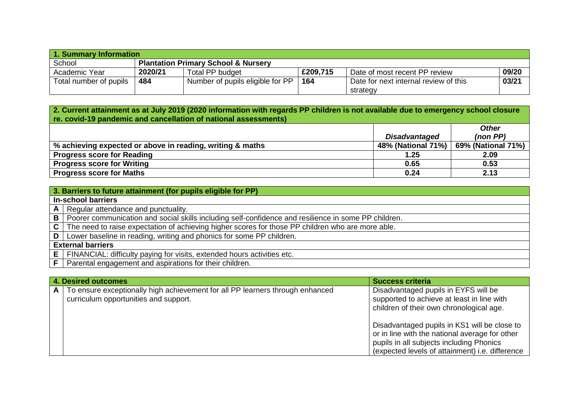| 1. Summary Information |                                                |                                  |          |                                       |       |  |
|------------------------|------------------------------------------------|----------------------------------|----------|---------------------------------------|-------|--|
| School                 | <b>Plantation Primary School &amp; Nursery</b> |                                  |          |                                       |       |  |
| Academic Year          | 2020/21                                        | Total PP budget                  | £209,715 | Date of most recent PP review         | 09/20 |  |
| Total number of pupils | 484                                            | Number of pupils eligible for PP | 164      | Date for next internal review of this | 03/21 |  |
|                        |                                                |                                  |          | strategy                              |       |  |

## **2. Current attainment as at July 2019 (2020 information with regards PP children is not available due to emergency school closure re. covid-19 pandemic and cancellation of national assessments)**

| ו טוויסטטטאן וויסטער ויט וויסטוואט שוויס מאוויסטוואר פו די אויז אין וויסט |                      |                    |
|---------------------------------------------------------------------------|----------------------|--------------------|
|                                                                           |                      | <b>Other</b>       |
|                                                                           | <b>Disadvantaged</b> | (non PP)           |
| % achieving expected or above in reading, writing & maths                 | 48% (National 71%)   | 69% (National 71%) |
| <b>Progress score for Reading</b>                                         | 1.25                 | 2.09               |
| <b>Progress score for Writing</b>                                         | 0.65                 | 0.53               |
| <b>Progress score for Maths</b>                                           | 0.24                 | 2.13               |

|     | 3. Barriers to future attainment (for pupils eligible for PP)                                            |
|-----|----------------------------------------------------------------------------------------------------------|
|     | <b>In-school barriers</b>                                                                                |
|     | $A \mid$ Regular attendance and punctuality.                                                             |
|     | B   Poorer communication and social skills including self-confidence and resilience in some PP children. |
|     | $C$ The need to raise expectation of achieving higher scores for those PP children who are more able.    |
| D I | Lower baseline in reading, writing and phonics for some PP children.                                     |
|     | <b>External barriers</b>                                                                                 |
|     | $E$   FINANCIAL: difficulty paying for visits, extended hours activities etc.                            |
|     | Parental engagement and aspirations for their children.                                                  |

|   | <b>4. Desired outcomes</b>                                                                                             | <b>Success criteria</b>                                                                                                                                                                       |  |  |
|---|------------------------------------------------------------------------------------------------------------------------|-----------------------------------------------------------------------------------------------------------------------------------------------------------------------------------------------|--|--|
| A | To ensure exceptionally high achievement for all PP learners through enhanced<br>curriculum opportunities and support. | Disadvantaged pupils in EYFS will be<br>supported to achieve at least in line with<br>children of their own chronological age.                                                                |  |  |
|   |                                                                                                                        | Disadvantaged pupils in KS1 will be close to<br>or in line with the national average for other<br>pupils in all subjects including Phonics<br>(expected levels of attainment) i.e. difference |  |  |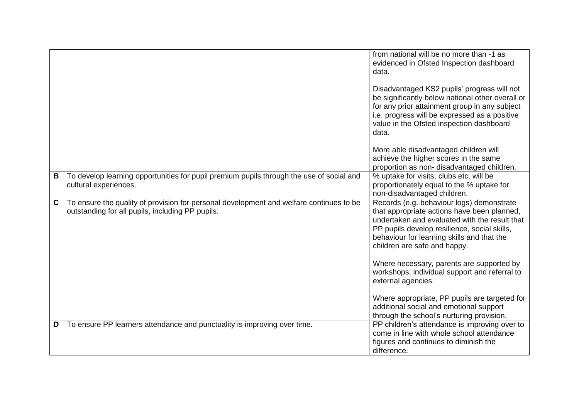|             |                                                                                                                                             | from national will be no more than -1 as<br>evidenced in Ofsted Inspection dashboard<br>data.<br>Disadvantaged KS2 pupils' progress will not<br>be significantly below national other overall or<br>for any prior attainment group in any subject<br>i.e. progress will be expressed as a positive<br>value in the Ofsted inspection dashboard<br>data. |
|-------------|---------------------------------------------------------------------------------------------------------------------------------------------|---------------------------------------------------------------------------------------------------------------------------------------------------------------------------------------------------------------------------------------------------------------------------------------------------------------------------------------------------------|
|             |                                                                                                                                             | More able disadvantaged children will<br>achieve the higher scores in the same<br>proportion as non-disadvantaged children.                                                                                                                                                                                                                             |
| В           | To develop learning opportunities for pupil premium pupils through the use of social and<br>cultural experiences.                           | % uptake for visits, clubs etc. will be<br>proportionately equal to the % uptake for<br>non-disadvantaged children.                                                                                                                                                                                                                                     |
| $\mathbf c$ | To ensure the quality of provision for personal development and welfare continues to be<br>outstanding for all pupils, including PP pupils. | Records (e.g. behaviour logs) demonstrate<br>that appropriate actions have been planned,<br>undertaken and evaluated with the result that<br>PP pupils develop resilience, social skills,<br>behaviour for learning skills and that the<br>children are safe and happy.<br>Where necessary, parents are supported by                                    |
|             |                                                                                                                                             | workshops, individual support and referral to<br>external agencies.                                                                                                                                                                                                                                                                                     |
|             |                                                                                                                                             | Where appropriate, PP pupils are targeted for<br>additional social and emotional support<br>through the school's nurturing provision.                                                                                                                                                                                                                   |
| D           | To ensure PP learners attendance and punctuality is improving over time.                                                                    | PP children's attendance is improving over to<br>come in line with whole school attendance<br>figures and continues to diminish the<br>difference.                                                                                                                                                                                                      |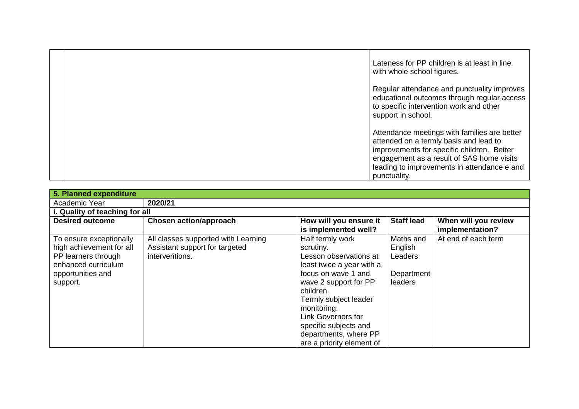| Lateness for PP children is at least in line<br>with whole school figures.                                                                                                                                                                       |
|--------------------------------------------------------------------------------------------------------------------------------------------------------------------------------------------------------------------------------------------------|
| Regular attendance and punctuality improves<br>educational outcomes through regular access<br>to specific intervention work and other<br>support in school.                                                                                      |
| Attendance meetings with families are better<br>attended on a termly basis and lead to<br>improvements for specific children. Better<br>engagement as a result of SAS home visits<br>leading to improvements in attendance e and<br>punctuality. |

| 5. Planned expenditure                                                                                                             |                                                                                         |                                                                                                                                                                                                                                                                                                       |                                                          |                                         |  |
|------------------------------------------------------------------------------------------------------------------------------------|-----------------------------------------------------------------------------------------|-------------------------------------------------------------------------------------------------------------------------------------------------------------------------------------------------------------------------------------------------------------------------------------------------------|----------------------------------------------------------|-----------------------------------------|--|
| Academic Year                                                                                                                      | 2020/21                                                                                 |                                                                                                                                                                                                                                                                                                       |                                                          |                                         |  |
| i. Quality of teaching for all                                                                                                     |                                                                                         |                                                                                                                                                                                                                                                                                                       |                                                          |                                         |  |
| <b>Desired outcome</b>                                                                                                             | <b>Chosen action/approach</b>                                                           | How will you ensure it<br>is implemented well?                                                                                                                                                                                                                                                        | <b>Staff lead</b>                                        | When will you review<br>implementation? |  |
| To ensure exceptionally<br>high achievement for all<br>PP learners through<br>enhanced curriculum<br>opportunities and<br>support. | All classes supported with Learning<br>Assistant support for targeted<br>interventions. | Half termly work<br>scrutiny.<br>Lesson observations at<br>least twice a year with a<br>focus on wave 1 and<br>wave 2 support for PP<br>children.<br>Termly subject leader<br>monitoring.<br><b>Link Governors for</b><br>specific subjects and<br>departments, where PP<br>are a priority element of | Maths and<br>English<br>Leaders<br>Department<br>leaders | At end of each term                     |  |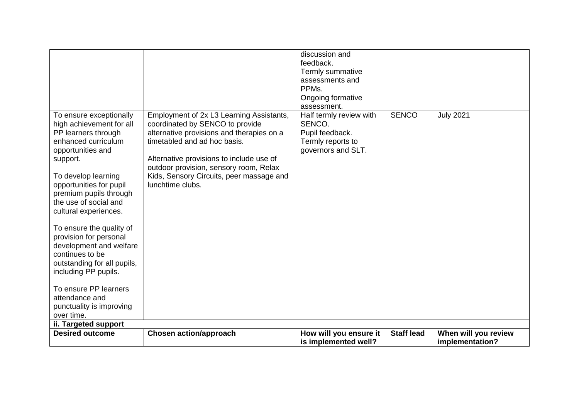| To ensure exceptionally<br>high achievement for all<br>PP learners through<br>enhanced curriculum<br>opportunities and<br>support.<br>To develop learning<br>opportunities for pupil<br>premium pupils through<br>the use of social and<br>cultural experiences.<br>To ensure the quality of<br>provision for personal<br>development and welfare<br>continues to be<br>outstanding for all pupils,<br>including PP pupils.<br>To ensure PP learners | Employment of 2x L3 Learning Assistants,<br>coordinated by SENCO to provide<br>alternative provisions and therapies on a<br>timetabled and ad hoc basis.<br>Alternative provisions to include use of<br>outdoor provision, sensory room, Relax<br>Kids, Sensory Circuits, peer massage and<br>lunchtime clubs. | discussion and<br>feedback.<br>Termly summative<br>assessments and<br>PPMs.<br>Ongoing formative<br>assessment.<br>Half termly review with<br>SENCO.<br>Pupil feedback.<br>Termly reports to<br>governors and SLT. | <b>SENCO</b>      | <b>July 2021</b>                        |
|------------------------------------------------------------------------------------------------------------------------------------------------------------------------------------------------------------------------------------------------------------------------------------------------------------------------------------------------------------------------------------------------------------------------------------------------------|----------------------------------------------------------------------------------------------------------------------------------------------------------------------------------------------------------------------------------------------------------------------------------------------------------------|--------------------------------------------------------------------------------------------------------------------------------------------------------------------------------------------------------------------|-------------------|-----------------------------------------|
| attendance and<br>punctuality is improving<br>over time.                                                                                                                                                                                                                                                                                                                                                                                             |                                                                                                                                                                                                                                                                                                                |                                                                                                                                                                                                                    |                   |                                         |
| ii. Targeted support                                                                                                                                                                                                                                                                                                                                                                                                                                 |                                                                                                                                                                                                                                                                                                                |                                                                                                                                                                                                                    |                   |                                         |
| <b>Desired outcome</b>                                                                                                                                                                                                                                                                                                                                                                                                                               | <b>Chosen action/approach</b>                                                                                                                                                                                                                                                                                  | How will you ensure it<br>is implemented well?                                                                                                                                                                     | <b>Staff lead</b> | When will you review<br>implementation? |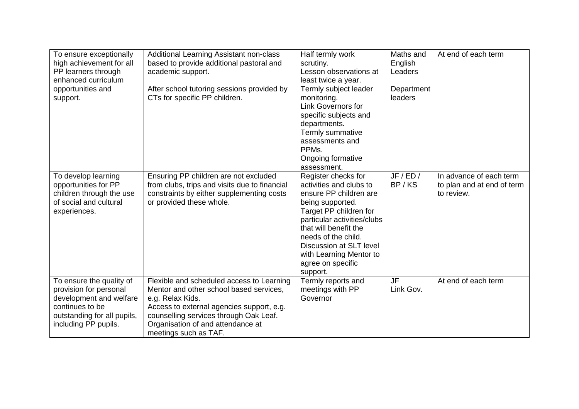| To ensure exceptionally<br>high achievement for all<br>PP learners through<br>enhanced curriculum<br>opportunities and<br>support.                      | Additional Learning Assistant non-class<br>based to provide additional pastoral and<br>academic support.<br>After school tutoring sessions provided by<br>CTs for specific PP children.                                                                       | Half termly work<br>scrutiny.<br>Lesson observations at<br>least twice a year.<br>Termly subject leader<br>monitoring.<br><b>Link Governors for</b><br>specific subjects and<br>departments.<br>Termly summative<br>assessments and<br>PPM <sub>s</sub> .<br>Ongoing formative                              | Maths and<br>English<br>Leaders<br>Department<br>leaders | At end of each term                                                 |
|---------------------------------------------------------------------------------------------------------------------------------------------------------|---------------------------------------------------------------------------------------------------------------------------------------------------------------------------------------------------------------------------------------------------------------|-------------------------------------------------------------------------------------------------------------------------------------------------------------------------------------------------------------------------------------------------------------------------------------------------------------|----------------------------------------------------------|---------------------------------------------------------------------|
| To develop learning<br>opportunities for PP<br>children through the use<br>of social and cultural<br>experiences.                                       | Ensuring PP children are not excluded<br>from clubs, trips and visits due to financial<br>constraints by either supplementing costs<br>or provided these whole.                                                                                               | assessment.<br>Register checks for<br>activities and clubs to<br>ensure PP children are<br>being supported.<br>Target PP children for<br>particular activities/clubs<br>that will benefit the<br>needs of the child.<br>Discussion at SLT level<br>with Learning Mentor to<br>agree on specific<br>support. | JF/ED/<br>BP/KS                                          | In advance of each term<br>to plan and at end of term<br>to review. |
| To ensure the quality of<br>provision for personal<br>development and welfare<br>continues to be<br>outstanding for all pupils,<br>including PP pupils. | Flexible and scheduled access to Learning<br>Mentor and other school based services,<br>e.g. Relax Kids.<br>Access to external agencies support, e.g.<br>counselling services through Oak Leaf.<br>Organisation of and attendance at<br>meetings such as TAF. | Termly reports and<br>meetings with PP<br>Governor                                                                                                                                                                                                                                                          | <b>JF</b><br>Link Gov.                                   | At end of each term                                                 |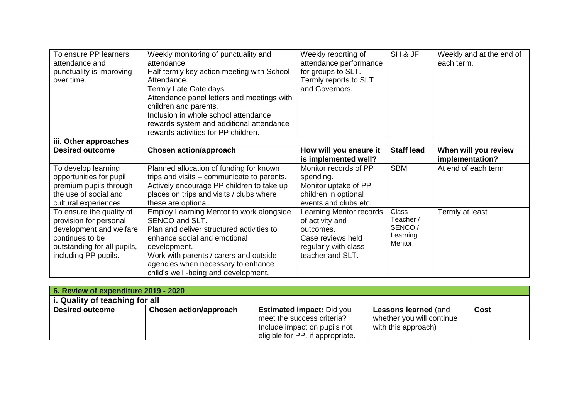| To ensure PP learners<br>attendance and<br>punctuality is improving<br>over time. | Weekly monitoring of punctuality and<br>attendance.<br>Half termly key action meeting with School<br>Attendance.<br>Termly Late Gate days.<br>Attendance panel letters and meetings with<br>children and parents.<br>Inclusion in whole school attendance<br>rewards system and additional attendance<br>rewards activities for PP children. | Weekly reporting of<br>attendance performance<br>for groups to SLT.<br>Termly reports to SLT<br>and Governors. | SH & JF             | Weekly and at the end of<br>each term.  |
|-----------------------------------------------------------------------------------|----------------------------------------------------------------------------------------------------------------------------------------------------------------------------------------------------------------------------------------------------------------------------------------------------------------------------------------------|----------------------------------------------------------------------------------------------------------------|---------------------|-----------------------------------------|
| iii. Other approaches                                                             |                                                                                                                                                                                                                                                                                                                                              |                                                                                                                |                     |                                         |
| <b>Desired outcome</b>                                                            | <b>Chosen action/approach</b>                                                                                                                                                                                                                                                                                                                | How will you ensure it<br>is implemented well?                                                                 | <b>Staff lead</b>   | When will you review<br>implementation? |
| To develop learning                                                               | Planned allocation of funding for known                                                                                                                                                                                                                                                                                                      | Monitor records of PP                                                                                          | <b>SBM</b>          | At end of each term                     |
| opportunities for pupil                                                           | trips and visits – communicate to parents.                                                                                                                                                                                                                                                                                                   | spending.                                                                                                      |                     |                                         |
| premium pupils through                                                            | Actively encourage PP children to take up                                                                                                                                                                                                                                                                                                    | Monitor uptake of PP                                                                                           |                     |                                         |
| the use of social and                                                             | places on trips and visits / clubs where                                                                                                                                                                                                                                                                                                     | children in optional                                                                                           |                     |                                         |
| cultural experiences.                                                             | these are optional.                                                                                                                                                                                                                                                                                                                          | events and clubs etc.                                                                                          |                     |                                         |
| To ensure the quality of                                                          | Employ Learning Mentor to work alongside                                                                                                                                                                                                                                                                                                     | Learning Mentor records                                                                                        | Class               | Termly at least                         |
| provision for personal                                                            | SENCO and SLT.                                                                                                                                                                                                                                                                                                                               | of activity and                                                                                                | Teacher /           |                                         |
| development and welfare                                                           | Plan and deliver structured activities to                                                                                                                                                                                                                                                                                                    | outcomes.                                                                                                      | SENCO/              |                                         |
| continues to be                                                                   | enhance social and emotional                                                                                                                                                                                                                                                                                                                 | Case reviews held                                                                                              | Learning<br>Mentor. |                                         |
| outstanding for all pupils,                                                       | development.                                                                                                                                                                                                                                                                                                                                 | regularly with class                                                                                           |                     |                                         |
| including PP pupils.                                                              | Work with parents / carers and outside                                                                                                                                                                                                                                                                                                       | teacher and SLT.                                                                                               |                     |                                         |
|                                                                                   | agencies when necessary to enhance                                                                                                                                                                                                                                                                                                           |                                                                                                                |                     |                                         |
|                                                                                   | child's well -being and development.                                                                                                                                                                                                                                                                                                         |                                                                                                                |                     |                                         |

| 6. Review of expenditure 2019 - 2020 |                        |                                  |                             |             |  |
|--------------------------------------|------------------------|----------------------------------|-----------------------------|-------------|--|
| i. Quality of teaching for all       |                        |                                  |                             |             |  |
| <b>Desired outcome</b>               | Chosen action/approach | <b>Estimated impact: Did you</b> | <b>Lessons learned (and</b> | <b>Cost</b> |  |
|                                      |                        | meet the success criteria?       | whether you will continue   |             |  |
|                                      |                        | Include impact on pupils not     | with this approach)         |             |  |
|                                      |                        | eligible for PP, if appropriate. |                             |             |  |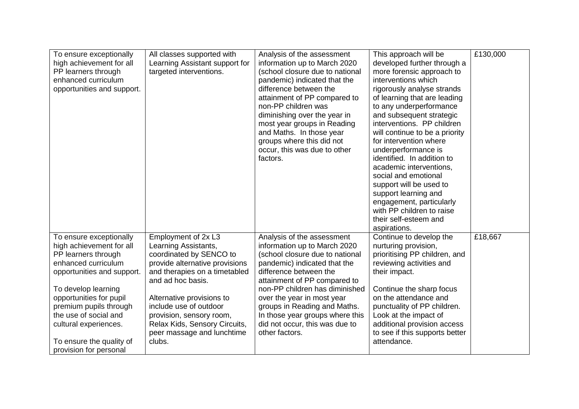| To ensure exceptionally<br>high achievement for all<br>PP learners through<br>enhanced curriculum<br>opportunities and support. | All classes supported with<br>Learning Assistant support for<br>targeted interventions. | Analysis of the assessment<br>information up to March 2020<br>(school closure due to national<br>pandemic) indicated that the<br>difference between the<br>attainment of PP compared to<br>non-PP children was<br>diminishing over the year in<br>most year groups in Reading<br>and Maths. In those year<br>groups where this did not<br>occur, this was due to other<br>factors. | This approach will be<br>developed further through a<br>more forensic approach to<br>interventions which<br>rigorously analyse strands<br>of learning that are leading<br>to any underperformance<br>and subsequent strategic<br>interventions. PP children<br>will continue to be a priority<br>for intervention where<br>underperformance is<br>identified. In addition to<br>academic interventions,<br>social and emotional<br>support will be used to<br>support learning and<br>engagement, particularly<br>with PP children to raise<br>their self-esteem and<br>aspirations. | £130,000 |
|---------------------------------------------------------------------------------------------------------------------------------|-----------------------------------------------------------------------------------------|------------------------------------------------------------------------------------------------------------------------------------------------------------------------------------------------------------------------------------------------------------------------------------------------------------------------------------------------------------------------------------|--------------------------------------------------------------------------------------------------------------------------------------------------------------------------------------------------------------------------------------------------------------------------------------------------------------------------------------------------------------------------------------------------------------------------------------------------------------------------------------------------------------------------------------------------------------------------------------|----------|
| To ensure exceptionally                                                                                                         | Employment of 2x L3                                                                     | Analysis of the assessment                                                                                                                                                                                                                                                                                                                                                         | Continue to develop the                                                                                                                                                                                                                                                                                                                                                                                                                                                                                                                                                              | £18,667  |
| high achievement for all                                                                                                        | Learning Assistants,                                                                    | information up to March 2020                                                                                                                                                                                                                                                                                                                                                       | nurturing provision,                                                                                                                                                                                                                                                                                                                                                                                                                                                                                                                                                                 |          |
| PP learners through                                                                                                             | coordinated by SENCO to                                                                 | (school closure due to national                                                                                                                                                                                                                                                                                                                                                    | prioritising PP children, and                                                                                                                                                                                                                                                                                                                                                                                                                                                                                                                                                        |          |
| enhanced curriculum                                                                                                             | provide alternative provisions                                                          | pandemic) indicated that the                                                                                                                                                                                                                                                                                                                                                       | reviewing activities and                                                                                                                                                                                                                                                                                                                                                                                                                                                                                                                                                             |          |
| opportunities and support.                                                                                                      | and therapies on a timetabled                                                           | difference between the                                                                                                                                                                                                                                                                                                                                                             | their impact.                                                                                                                                                                                                                                                                                                                                                                                                                                                                                                                                                                        |          |
| To develop learning                                                                                                             | and ad hoc basis.                                                                       | attainment of PP compared to                                                                                                                                                                                                                                                                                                                                                       | Continue the sharp focus                                                                                                                                                                                                                                                                                                                                                                                                                                                                                                                                                             |          |
| opportunities for pupil                                                                                                         | Alternative provisions to                                                               | non-PP children has diminished                                                                                                                                                                                                                                                                                                                                                     | on the attendance and                                                                                                                                                                                                                                                                                                                                                                                                                                                                                                                                                                |          |
| premium pupils through                                                                                                          | include use of outdoor                                                                  | over the year in most year                                                                                                                                                                                                                                                                                                                                                         | punctuality of PP children.                                                                                                                                                                                                                                                                                                                                                                                                                                                                                                                                                          |          |
| the use of social and                                                                                                           | provision, sensory room,                                                                | groups in Reading and Maths.                                                                                                                                                                                                                                                                                                                                                       | Look at the impact of                                                                                                                                                                                                                                                                                                                                                                                                                                                                                                                                                                |          |
| cultural experiences.                                                                                                           | Relax Kids, Sensory Circuits,                                                           | In those year groups where this                                                                                                                                                                                                                                                                                                                                                    | additional provision access                                                                                                                                                                                                                                                                                                                                                                                                                                                                                                                                                          |          |
| To ensure the quality of                                                                                                        | peer massage and lunchtime                                                              | did not occur, this was due to                                                                                                                                                                                                                                                                                                                                                     | to see if this supports better                                                                                                                                                                                                                                                                                                                                                                                                                                                                                                                                                       |          |
| provision for personal                                                                                                          | clubs.                                                                                  | other factors.                                                                                                                                                                                                                                                                                                                                                                     | attendance.                                                                                                                                                                                                                                                                                                                                                                                                                                                                                                                                                                          |          |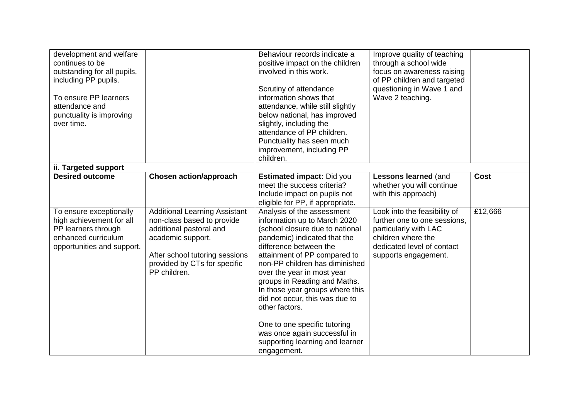| development and welfare     |                                      | Behaviour records indicate a     | Improve quality of teaching  |             |
|-----------------------------|--------------------------------------|----------------------------------|------------------------------|-------------|
| continues to be             |                                      | positive impact on the children  | through a school wide        |             |
| outstanding for all pupils, |                                      | involved in this work.           | focus on awareness raising   |             |
| including PP pupils.        |                                      |                                  | of PP children and targeted  |             |
|                             |                                      | Scrutiny of attendance           | questioning in Wave 1 and    |             |
| To ensure PP learners       |                                      | information shows that           | Wave 2 teaching.             |             |
| attendance and              |                                      | attendance, while still slightly |                              |             |
| punctuality is improving    |                                      | below national, has improved     |                              |             |
| over time.                  |                                      | slightly, including the          |                              |             |
|                             |                                      | attendance of PP children.       |                              |             |
|                             |                                      | Punctuality has seen much        |                              |             |
|                             |                                      | improvement, including PP        |                              |             |
|                             |                                      | children.                        |                              |             |
| ii. Targeted support        |                                      |                                  |                              |             |
| <b>Desired outcome</b>      | <b>Chosen action/approach</b>        | <b>Estimated impact: Did you</b> | Lessons learned (and         | <b>Cost</b> |
|                             |                                      | meet the success criteria?       | whether you will continue    |             |
|                             |                                      | Include impact on pupils not     | with this approach)          |             |
|                             |                                      | eligible for PP, if appropriate. |                              |             |
| To ensure exceptionally     | <b>Additional Learning Assistant</b> | Analysis of the assessment       | Look into the feasibility of | £12,666     |
| high achievement for all    | non-class based to provide           | information up to March 2020     | further one to one sessions, |             |
| PP learners through         | additional pastoral and              | (school closure due to national  | particularly with LAC        |             |
| enhanced curriculum         | academic support.                    | pandemic) indicated that the     | children where the           |             |
| opportunities and support.  |                                      | difference between the           | dedicated level of contact   |             |
|                             | After school tutoring sessions       | attainment of PP compared to     | supports engagement.         |             |
|                             | provided by CTs for specific         | non-PP children has diminished   |                              |             |
|                             | PP children.                         | over the year in most year       |                              |             |
|                             |                                      | groups in Reading and Maths.     |                              |             |
|                             |                                      | In those year groups where this  |                              |             |
|                             |                                      | did not occur, this was due to   |                              |             |
|                             |                                      | other factors.                   |                              |             |
|                             |                                      |                                  |                              |             |
|                             |                                      | One to one specific tutoring     |                              |             |
|                             |                                      | was once again successful in     |                              |             |
|                             |                                      | supporting learning and learner  |                              |             |
|                             |                                      | engagement.                      |                              |             |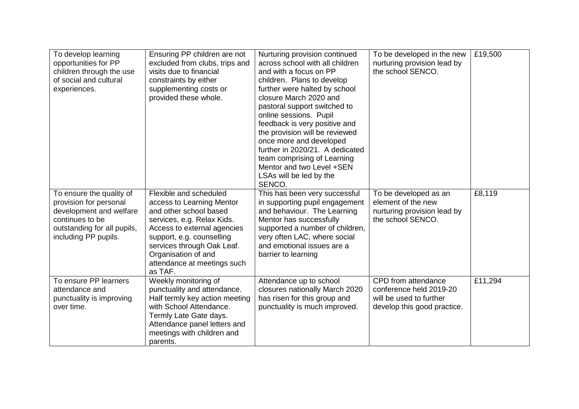| To develop learning<br>opportunities for PP<br>children through the use<br>of social and cultural<br>experiences.                                       | Ensuring PP children are not<br>excluded from clubs, trips and<br>visits due to financial<br>constraints by either<br>supplementing costs or<br>provided these whole.                                                                                                  | Nurturing provision continued<br>across school with all children<br>and with a focus on PP<br>children. Plans to develop<br>further were halted by school<br>closure March 2020 and<br>pastoral support switched to<br>online sessions. Pupil<br>feedback is very positive and<br>the provision will be reviewed<br>once more and developed<br>further in 2020/21. A dedicated<br>team comprising of Learning<br>Mentor and two Level +SEN<br>LSAs will be led by the<br>SENCO. | To be developed in the new<br>nurturing provision lead by<br>the school SENCO.                           | £19,500 |
|---------------------------------------------------------------------------------------------------------------------------------------------------------|------------------------------------------------------------------------------------------------------------------------------------------------------------------------------------------------------------------------------------------------------------------------|---------------------------------------------------------------------------------------------------------------------------------------------------------------------------------------------------------------------------------------------------------------------------------------------------------------------------------------------------------------------------------------------------------------------------------------------------------------------------------|----------------------------------------------------------------------------------------------------------|---------|
| To ensure the quality of<br>provision for personal<br>development and welfare<br>continues to be<br>outstanding for all pupils,<br>including PP pupils. | Flexible and scheduled<br>access to Learning Mentor<br>and other school based<br>services, e.g. Relax Kids.<br>Access to external agencies<br>support, e.g. counselling<br>services through Oak Leaf.<br>Organisation of and<br>attendance at meetings such<br>as TAF. | This has been very successful<br>in supporting pupil engagement<br>and behaviour. The Learning<br>Mentor has successfully<br>supported a number of children,<br>very often LAC, where social<br>and emotional issues are a<br>barrier to learning                                                                                                                                                                                                                               | To be developed as an<br>element of the new<br>nurturing provision lead by<br>the school SENCO.          | £8,119  |
| To ensure PP learners<br>attendance and<br>punctuality is improving<br>over time.                                                                       | Weekly monitoring of<br>punctuality and attendance.<br>Half termly key action meeting<br>with School Attendance.<br>Termly Late Gate days.<br>Attendance panel letters and<br>meetings with children and<br>parents.                                                   | Attendance up to school<br>closures nationally March 2020<br>has risen for this group and<br>punctuality is much improved.                                                                                                                                                                                                                                                                                                                                                      | CPD from attendance<br>conference held 2019-20<br>will be used to further<br>develop this good practice. | £11,294 |